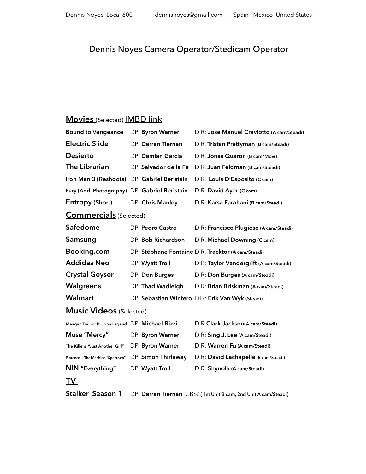## Dennis Noyes Camera Operator/Stedicam Operator

## **Movies** (Selected) [IMBD link](http://www.imdb.com/name/nm2101514/?ref_=fn_al_nm_1)

| <b>Bound to Vengeance</b>                        | DP: Byron Warner      | DIR: Jose Manuel Craviotto (A cam/Steadi)          |
|--------------------------------------------------|-----------------------|----------------------------------------------------|
| <b>Electric Slide</b>                            | DP: Darran Tiernan    | DIR. Tristan Prettyman (B cam/Steadi)              |
| <b>Desierto</b>                                  | DP: Damian Garcia     | DIR. Jonas Quaron (B cam/Movi)                     |
| The Librarian                                    | DP: Salvador de la Fe | DIR. Juan Feldman (B cam/Steadi)                   |
| Iron Man 3 (Reshoots) DP: Gabriel Beristain      |                       | DIR. Louis D'Esposito (C cam)                      |
| Fury (Add. Photography) DP: Gabriel Beristain    |                       | DIR. David Ayer (C cam)                            |
| Entropy (Short)                                  | DP: Chris Manley      | DIR. Karsa Farahani (B cam/Steadi)                 |
| <b>Commercials</b> (Selected)                    |                       |                                                    |
| Safedome                                         | DP: Pedro Castro      | DIR: Francisco Plugiese (A cam/Steadi)             |
| Samsung                                          | DP: Bob Richardson    | DIR. Michael Downing (C cam)                       |
| Booking.com                                      |                       | DP: Stéphane Fontaine DIR. Tracktor (A cam/Steadi) |
| <b>Addidas Neo</b>                               | DP: Wyatt Troll       | DIR: Taylor Vandergrift (A cam/Steadi)             |
| <b>Crystal Geyser</b>                            | DP: Don Burges        | DIR: Don Burges (A cam/Steadi)                     |
| Walgreens                                        | DP: Thad Wadleigh     | DIR: Brian Briskman (A cam/Steadi)                 |
| Walmart                                          |                       | DP: Sebastian Wintero DIR: Erik Van Wyk (Steadi)   |
| <b>Music Videos</b> (Selected)                   |                       |                                                    |
| Meagan Trainor ft. John Legend DP: Michael Rizzi |                       | DIR: Clark Jackson(A cam/Steadi)                   |
| Muse "Mercy"                                     | DP: Byron Warner      | DIR: Sing J. Lee (A cam/Steadi)                    |
| The Killers "Just Another Girl"                  | DP: Byron Warner      | DIR: Warren Fu (A cam/Steadi)                      |
| Florence + The Machine "Spectrum"                | DP: Simon Thirlaway   | DIR: David Lachapelle (B cam/Steadi)               |
| NIN "Everything"                                 | DP: Wyatt Troll       | DIR: Shynola (A cam/Steadi)                        |
| TV.                                              |                       |                                                    |

**Stalker Season 1** DP: **Darran Tiernan** CBS/ **( 1st Unit B cam, 2nd Unit A cam/Steadi)**